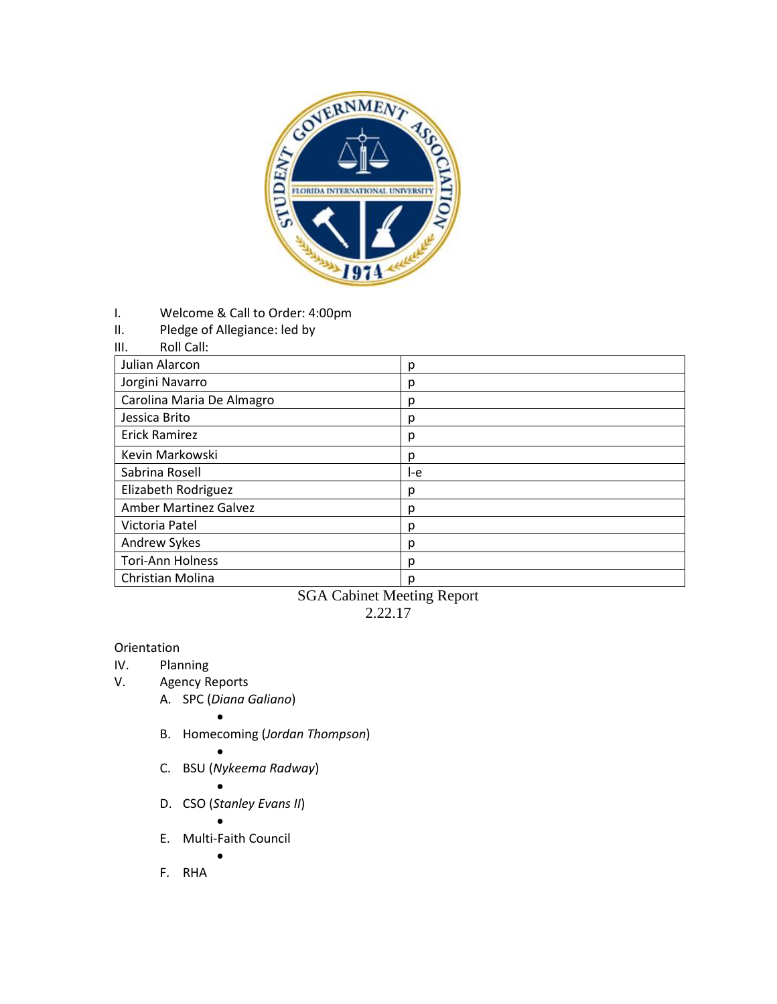

- I. Welcome & Call to Order: 4:00pm
- II. Pledge of Allegiance: led by

| Roll Call:<br>Ш. |
|------------------|
|------------------|

| Julian Alarcon               | р   |
|------------------------------|-----|
| Jorgini Navarro              | р   |
| Carolina Maria De Almagro    | р   |
| Jessica Brito                | р   |
| <b>Erick Ramirez</b>         | р   |
| Kevin Markowski              | р   |
| Sabrina Rosell               | l-e |
| Elizabeth Rodriguez          | р   |
| <b>Amber Martinez Galvez</b> | р   |
| Victoria Patel               | р   |
| Andrew Sykes                 | р   |
| <b>Tori-Ann Holness</b>      | р   |
| Christian Molina             | p   |

SGA Cabinet Meeting Report 2.22.17

## Orientation

- IV. Planning
- V. Agency Reports
	- A. SPC (*Diana Galiano*)
		- $\bullet$
	- B. Homecoming (*Jordan Thompson*)
	- $\bullet$ C. BSU (*Nykeema Radway*)
		- $\bullet$
	- D. CSO (*Stanley Evans II*)
		- $\bullet$
	- E. Multi-Faith Council  $\bullet$

F. RHA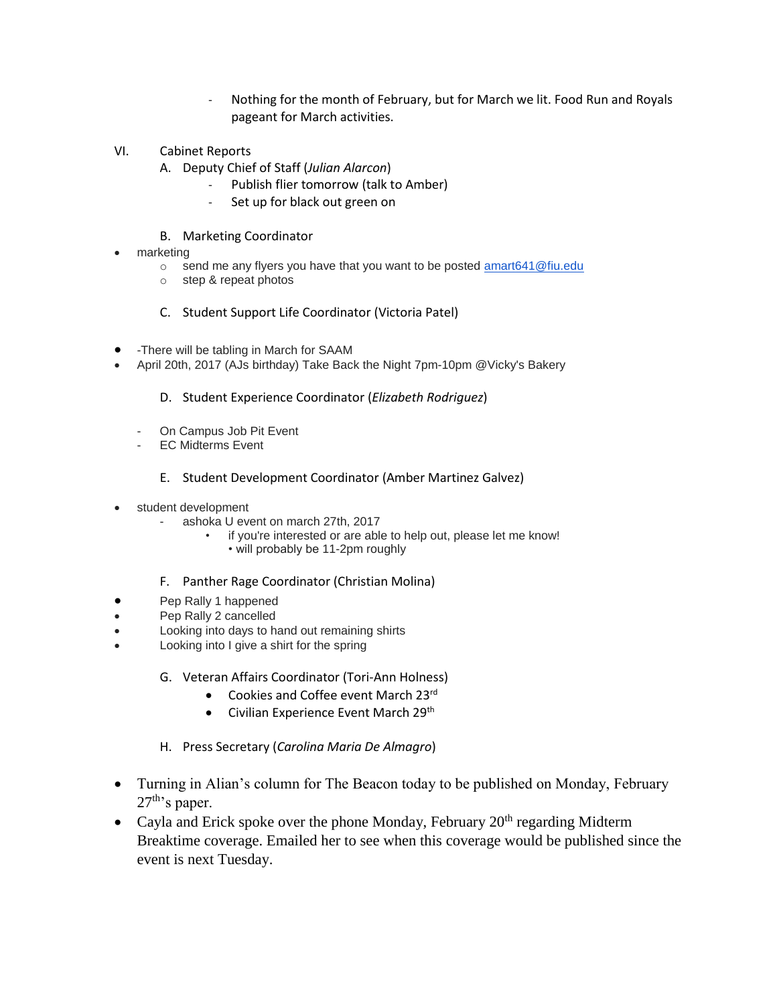- Nothing for the month of February, but for March we lit. Food Run and Royals pageant for March activities.
- VI. Cabinet Reports
	- A. Deputy Chief of Staff (*Julian Alarcon*)
		- Publish flier tomorrow (talk to Amber)
		- Set up for black out green on

## B. Marketing Coordinator

- marketing
	- $\circ$  send me any flyers you have that you want to be posted amart 641 @ fiu.edu
	- o step & repeat photos
	- C. Student Support Life Coordinator (Victoria Patel)
- -There will be tabling in March for SAAM
- April 20th, 2017 (AJs birthday) Take Back the Night 7pm-10pm @Vicky's Bakery
	- D. Student Experience Coordinator (*Elizabeth Rodriguez*)
	- On Campus Job Pit Event
	- EC Midterms Event
		- E. Student Development Coordinator (Amber Martinez Galvez)
- student development
	- ashoka U event on march 27th, 2017
		- if you're interested or are able to help out, please let me know!
			- will probably be 11-2pm roughly
	- F. Panther Rage Coordinator (Christian Molina)
- Pep Rally 1 happened
- Pep Rally 2 cancelled
- Looking into days to hand out remaining shirts
- Looking into I give a shirt for the spring
	- G. Veteran Affairs Coordinator (Tori-Ann Holness)
		- Cookies and Coffee event March 23rd
		- Civilian Experience Event March 29<sup>th</sup>
	- H. Press Secretary (*Carolina Maria De Almagro*)
- Turning in Alian's column for The Beacon today to be published on Monday, February  $27^{\text{th}}$ 's paper.
- Cayla and Erick spoke over the phone Monday, February  $20<sup>th</sup>$  regarding Midterm Breaktime coverage. Emailed her to see when this coverage would be published since the event is next Tuesday.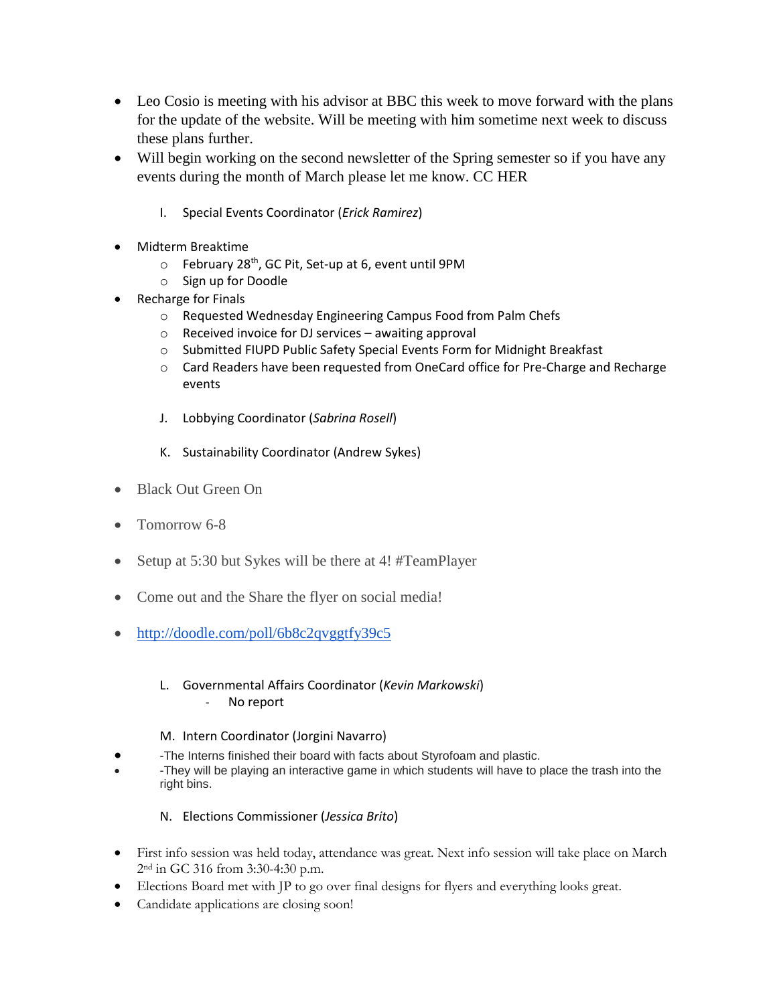- Leo Cosio is meeting with his advisor at BBC this week to move forward with the plans for the update of the website. Will be meeting with him sometime next week to discuss these plans further.
- Will begin working on the second newsletter of the Spring semester so if you have any events during the month of March please let me know. CC HER
	- I. Special Events Coordinator (*Erick Ramirez*)
- Midterm Breaktime
	- o February 28<sup>th</sup>, GC Pit, Set-up at 6, event until 9PM
	- o Sign up for Doodle
- Recharge for Finals
	- o Requested Wednesday Engineering Campus Food from Palm Chefs
	- o Received invoice for DJ services awaiting approval
	- o Submitted FIUPD Public Safety Special Events Form for Midnight Breakfast
	- o Card Readers have been requested from OneCard office for Pre-Charge and Recharge events
	- J. Lobbying Coordinator (*Sabrina Rosell*)
	- K. Sustainability Coordinator (Andrew Sykes)
- Black Out Green On
- Tomorrow 6-8
- Setup at 5:30 but Sykes will be there at 4! #TeamPlayer
- Come out and the Share the flyer on social media!
- <http://doodle.com/poll/6b8c2qvggtfy39c5>
	- L. Governmental Affairs Coordinator (*Kevin Markowski*) No report
	- M. Intern Coordinator (Jorgini Navarro)
- -The Interns finished their board with facts about Styrofoam and plastic.
- -They will be playing an interactive game in which students will have to place the trash into the right bins.
	- N. Elections Commissioner (*Jessica Brito*)
- First info session was held today, attendance was great. Next info session will take place on March 2nd in GC 316 from 3:30-4:30 p.m.
- Elections Board met with JP to go over final designs for flyers and everything looks great.
- Candidate applications are closing soon!